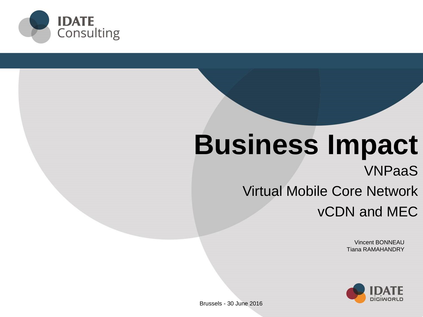

# **Business Impact**

VNPaaS

Virtual Mobile Core Network

vCDN and MEC

Vincent BONNEAU Tiana RAMAHANDRY



Brussels - 30 June 2016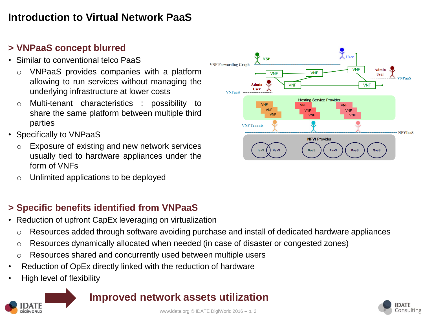# **Introduction to Virtual Network PaaS**

### **> VNPaaS concept blurred**

- Similar to conventional telco PaaS
	- VNPaaS provides companies with a platform allowing to run services without managing the underlying infrastructure at lower costs
	- o Multi-tenant characteristics : possibility to share the same platform between multiple third parties
- Specifically to VNPaaS
	- o Exposure of existing and new network services usually tied to hardware appliances under the form of VNFs
	- o Unlimited applications to be deployed

# **> Specific benefits identified from VNPaaS**

- Reduction of upfront CapEx leveraging on virtualization
	- o Resources added through software avoiding purchase and install of dedicated hardware appliances
	- o Resources dynamically allocated when needed (in case of disaster or congested zones)
	- o Resources shared and concurrently used between multiple users
- Reduction of OpEx directly linked with the reduction of hardware
- High level of flexibility

pigiwort.p

**Improved network assets utilization**



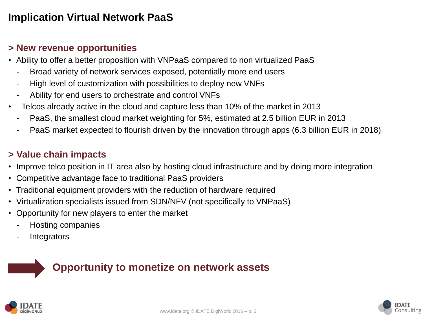## **Implication Virtual Network PaaS**

#### **> New revenue opportunities**

- Ability to offer a better proposition with VNPaaS compared to non virtualized PaaS
	- Broad variety of network services exposed, potentially more end users
	- High level of customization with possibilities to deploy new VNFs
	- Ability for end users to orchestrate and control VNFs
- Telcos already active in the cloud and capture less than 10% of the market in 2013
	- PaaS, the smallest cloud market weighting for 5%, estimated at 2.5 billion EUR in 2013
	- PaaS market expected to flourish driven by the innovation through apps (6.3 billion EUR in 2018)

#### **> Value chain impacts**

- Improve telco position in IT area also by hosting cloud infrastructure and by doing more integration
- Competitive advantage face to traditional PaaS providers
- Traditional equipment providers with the reduction of hardware required
- Virtualization specialists issued from SDN/NFV (not specifically to VNPaaS)
- Opportunity for new players to enter the market
	- Hosting companies
	- **Integrators**





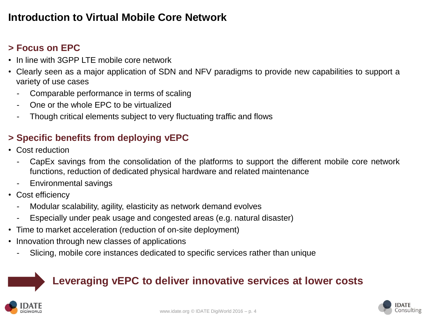# **Introduction to Virtual Mobile Core Network**

#### **> Focus on EPC**

- In line with 3GPP LTE mobile core network
- Clearly seen as a major application of SDN and NFV paradigms to provide new capabilities to support a variety of use cases
	- Comparable performance in terms of scaling
	- One or the whole EPC to be virtualized
	- Though critical elements subject to very fluctuating traffic and flows

# **> Specific benefits from deploying vEPC**

- Cost reduction
	- CapEx savings from the consolidation of the platforms to support the different mobile core network functions, reduction of dedicated physical hardware and related maintenance
	- Environmental savings
- Cost efficiency
	- Modular scalability, agility, elasticity as network demand evolves
	- Especially under peak usage and congested areas (e.g. natural disaster)
- Time to market acceleration (reduction of on-site deployment)
- Innovation through new classes of applications
	- Slicing, mobile core instances dedicated to specific services rather than unique

# **Leveraging vEPC to deliver innovative services at lower costs**

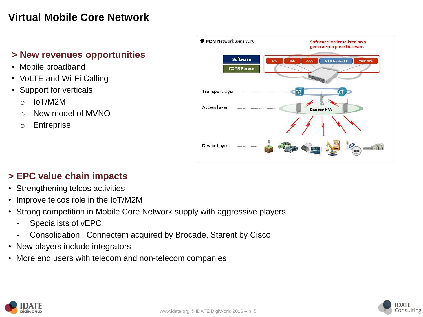# **Virtual Mobile Core Network**

#### **> New revenues opportunities**

- Mobile broadband
- VoLTE and Wi-Fi Calling
- Support for verticals
	- o IoT/M2M
	- o New model of MVNO
	- o Entreprise



### **> EPC value chain impacts**

- Strengthening telcos activities
- Improve telcos role in the IoT/M2M
- Strong competition in Mobile Core Network supply with aggressive players
	- Specialists of vEPC
	- Consolidation : Connectem acquired by Brocade, Starent by Cisco
- New players include integrators
- More end users with telecom and non-telecom companies



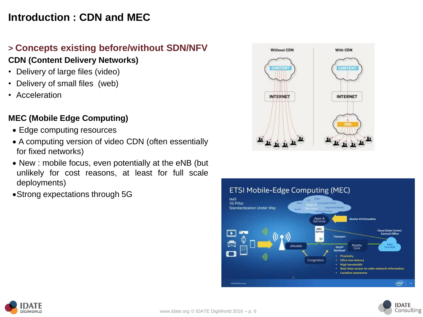# **Introduction : CDN and MEC**

#### **> Concepts existing before/without SDN/NFV CDN (Content Delivery Networks)**

- Delivery of large files (video)
- Delivery of small files (web)
- Acceleration

#### **MEC (Mobile Edge Computing)**

- Edge computing resources
- A computing version of video CDN (often essentially for fixed networks)
- New : mobile focus, even potentially at the eNB (but unlikely for cost reasons, at least for full scale deployments)
- Strong expectations through 5G







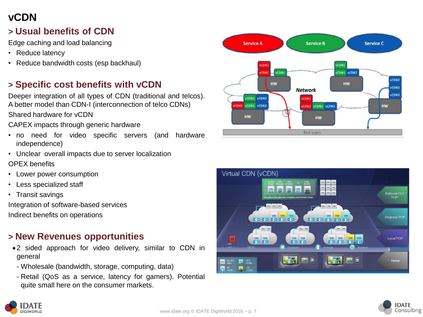# **vCDN**

# **> Usual benefits of CDN**

Edge caching and load balancing

- Reduce latency
- Reduce bandwidth costs (esp backhaul)

# **> Specific cost benefits with vCDN**

Deeper integration of all types of CDN (traditional and telcos). A better model than CDN-I (interconnection of telco CDNs) Shared hardware for vCDN

CAPEX impacts through generic hardware

- no need for video specific servers (and hardware independence)
- Unclear overall impacts due to server localization OPEX benefits
- Lower power consumption
- Less specialized staff
- Transit savings

Integration of software-based services

Indirect benefits on operations

### **> New Revenues opportunities**

- 2 sided approach for video delivery, similar to CDN in general
	- Wholesale (bandwidth, storage, computing, data)
	- Retail (QoS as a service, latency for gamers). Potential quite small here on the consumer markets.









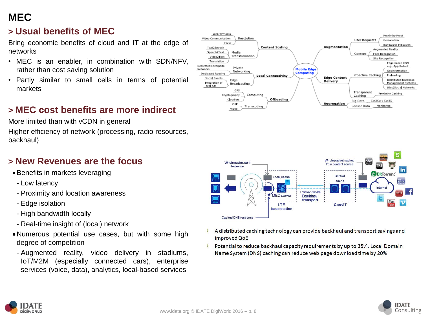# **MEC**

#### **> Usual benefits of MEC**

Bring economic benefits of cloud and IT at the edge of networks

- MEC is an enabler, in combination with SDN/NFV, rather than cost saving solution
- Partly similar to small cells in terms of potential markets

#### **> MEC cost benefits are more indirect**

More limited than with vCDN in general Higher efficiency of network (processing, radio resources, backhaul)

#### **> New Revenues are the focus**

- Benefits in markets leveraging
	- Low latency
	- Proximity and location awareness
	- Edge isolation
	- High bandwidth locally
	- Real-time insight of (local) network
- Numerous potential use cases, but with some high degree of competition
- Augmented reality, video delivery in stadiums, IoT/M2M (especially connected cars), enterprise services (voice, data), analytics, local-based services





- A distributed caching technology can provide backhaul and transport savings and improved QoE
- $\left\langle \right\rangle$ Potential to reduce backhaul capacity requirements by up to 35%. Local Domain Name System (DNS) caching can reduce web page download time by 20%